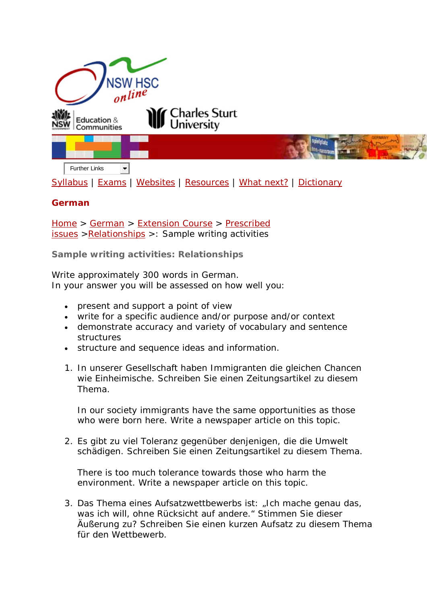

[Syllabus](http://www.boardofstudies.nsw.edu.au/syllabus_hsc/) | [Exams](http://www.boardofstudies.nsw.edu.au/hsc_exams/) | [Websites](http://www.hsc.csu.edu.au/german/websites/4262/german_websites.htm) | [Resources](http://www.hsc.csu.edu.au/german/resources/2367/index.htm) | [What next?](http://www.hsc.csu.edu.au/german/what_next/2369/index.html) | [Dictionary](http://www.hsc.csu.edu.au/german/dictionary/2370/index.htm)

## **German**

[Home](http://www.hsc.csu.edu.au/) > [German](http://www.hsc.csu.edu.au/german/) > [Extension Course](http://www.hsc.csu.edu.au/german/#112077) > [Prescribed](http://www.hsc.csu.edu.au/german/#112078)   $issues > Relationships >: Sample writing activities$  $issues > Relationships >: Sample writing activities$ 

**Sample writing activities: Relationships**

Write approximately 300 words in German. In your answer you will be assessed on how well you:

- present and support a point of view
- write for a specific audience and/or purpose and/or context
- demonstrate accuracy and variety of vocabulary and sentence structures
- structure and sequence ideas and information.
- 1. *In unserer Gesellschaft haben Immigranten die gleichen Chancen wie Einheimische. Schreiben Sie einen Zeitungsartikel zu diesem Thema.*

In our society immigrants have the same opportunities as those who were born here. Write a newspaper article on this topic.

2. *Es gibt zu viel Toleranz gegenüber denjenigen, die die Umwelt schädigen. Schreiben Sie einen Zeitungsartikel zu diesem Thema.*

There is too much tolerance towards those who harm the environment. Write a newspaper article on this topic.

3. *Das Thema eines Aufsatzwettbewerbs ist: "Ich mache genau das, was ich will, ohne Rücksicht auf andere." Stimmen Sie dieser Äußerung zu? Schreiben Sie einen kurzen Aufsatz zu diesem Thema für den Wettbewerb.*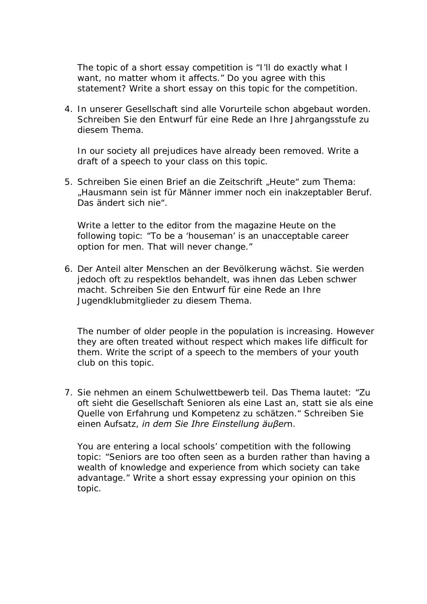The topic of a short essay competition is "I'll do exactly what I want, no matter whom it affects." Do you agree with this statement? Write a short essay on this topic for the competition.

4. *In unserer Gesellschaft sind alle Vorurteile schon abgebaut worden. Schreiben Sie den Entwurf für eine Rede an Ihre Jahrgangsstufe zu diesem Thema.*

In our society all prejudices have already been removed. Write a draft of a speech to your class on this topic.

*5. Schreiben Sie einen Brief an die Zeitschrift "Heute" zum Thema: "Hausmann sein ist für Männer immer noch ein inakzeptabler Beruf. Das ändert sich nie".*

Write a letter to the editor from the magazine *Heute* on the following topic: "To be a 'houseman' is an unacceptable career option for men. That will never change."

*6. Der Anteil alter Menschen an der Bevölkerung wächst. Sie werden jedoch oft zu respektlos behandelt, was ihnen das Leben schwer macht. Schreiben Sie den Entwurf für eine Rede an Ihre Jugendklubmitglieder zu diesem Thema.*

The number of older people in the population is increasing. However they are often treated without respect which makes life difficult for them. Write the script of a speech to the members of your youth club on this topic.

*7. Sie nehmen an einem Schulwettbewerb teil. Das Thema lautet: "Zu oft sieht die Gesellschaft Senioren als eine Last an, statt sie als eine Quelle von Erfahrung und Kompetenz zu schätzen." Schreiben Sie einen Aufsatz, in dem Sie Ihre Einstellung äuβern.* 

You are entering a local schools' competition with the following topic: "Seniors are too often seen as a burden rather than having a wealth of knowledge and experience from which society can take advantage." Write a short essay expressing your opinion on this topic.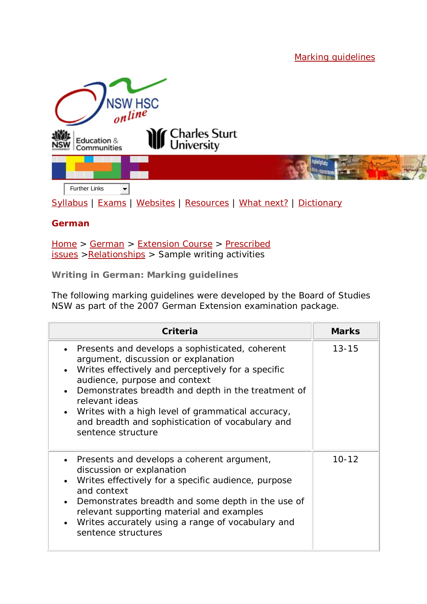[Marking guidelines](http://www.hsc.csu.edu.au/german/extension/issues/tolerance/3754/marking_guidelines.htm)



[Syllabus](http://www.boardofstudies.nsw.edu.au/syllabus_hsc/) | [Exams](http://www.boardofstudies.nsw.edu.au/hsc_exams/) | [Websites](http://www.hsc.csu.edu.au/german/websites/4262/german_websites.htm) | [Resources](http://www.hsc.csu.edu.au/german/resources/2367/index.htm) | [What next?](http://www.hsc.csu.edu.au/german/what_next/2369/index.html) | [Dictionary](http://www.hsc.csu.edu.au/german/dictionary/2370/index.htm)

## **German**

[Home](http://www.hsc.csu.edu.au/) > [German](http://www.hsc.csu.edu.au/german/) > [Extension Course](http://www.hsc.csu.edu.au/german/#112077) > [Prescribed](http://www.hsc.csu.edu.au/german/#112078)  [issues](http://www.hsc.csu.edu.au/german/#112078) >Relationships > Sample writing activities

**Writing in German: Marking guidelines**

The following marking guidelines were developed by the Board of Studies NSW as part of the 2007 German Extension examination package.

| <b>Criteria</b>                                                                                                                                                                                                                                                                                                                                                                      | <b>Marks</b> |
|--------------------------------------------------------------------------------------------------------------------------------------------------------------------------------------------------------------------------------------------------------------------------------------------------------------------------------------------------------------------------------------|--------------|
| Presents and develops a sophisticated, coherent<br>argument, discussion or explanation<br>Writes effectively and perceptively for a specific<br>audience, purpose and context<br>Demonstrates breadth and depth in the treatment of<br>relevant ideas<br>Writes with a high level of grammatical accuracy,<br>and breadth and sophistication of vocabulary and<br>sentence structure | $13 - 15$    |
| Presents and develops a coherent argument,<br>discussion or explanation<br>Writes effectively for a specific audience, purpose<br>and context<br>Demonstrates breadth and some depth in the use of<br>$\bullet$<br>relevant supporting material and examples<br>Writes accurately using a range of vocabulary and<br>sentence structures                                             | $10 - 12$    |